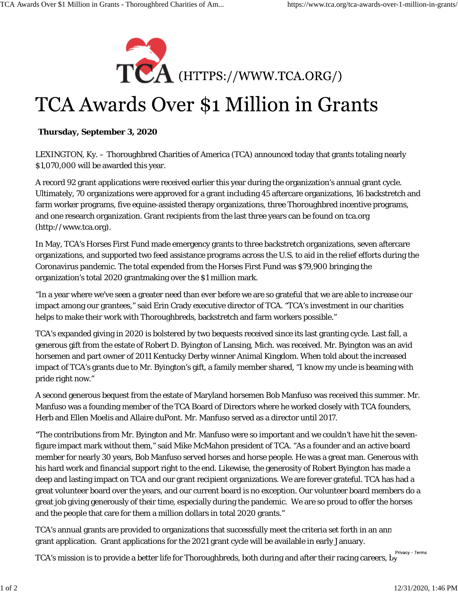

## TCA Awards Over \$1 Million in Grants

## **Thursday, September 3, 2020**

LEXINGTON, Ky. – Thoroughbred Charities of America (TCA) announced today that grants totaling nearly \$1,070,000 will be awarded this year.

A record 92 grant applications were received earlier this year during the organization's annual grant cycle. Ultimately, 70 organizations were approved for a grant including 45 aftercare organizations, 16 backstretch and farm worker programs, five equine-assisted therapy organizations, three Thoroughbred incentive programs, and one research organization. Grant recipients from the last three years can be found on tca.org (http://www.tca.org).

In May, TCA's Horses First Fund made emergency grants to three backstretch organizations, seven aftercare organizations, and supported two feed assistance programs across the U.S. to aid in the relief efforts during the Coronavirus pandemic. The total expended from the Horses First Fund was \$79,900 bringing the organization's total 2020 grantmaking over the \$1 million mark.

"In a year where we've seen a greater need than ever before we are so grateful that we are able to increase our impact among our grantees," said Erin Crady executive director of TCA. "TCA's investment in our charities helps to make their work with Thoroughbreds, backstretch and farm workers possible."

TCA's expanded giving in 2020 is bolstered by two bequests received since its last granting cycle. Last fall, a generous gift from the estate of Robert D. Byington of Lansing, Mich. was received. Mr. Byington was an avid horsemen and part owner of 2011 Kentucky Derby winner Animal Kingdom. When told about the increased impact of TCA's grants due to Mr. Byington's gift, a family member shared, "I know my uncle is beaming with pride right now."

A second generous bequest from the estate of Maryland horsemen Bob Manfuso was received this summer. Mr. Manfuso was a founding member of the TCA Board of Directors where he worked closely with TCA founders, Herb and Ellen Moelis and Allaire duPont. Mr. Manfuso served as a director until 2017.

"The contributions from Mr. Byington and Mr. Manfuso were so important and we couldn't have hit the sevenfigure impact mark without them," said Mike McMahon president of TCA. "As a founder and an active board member for nearly 30 years, Bob Manfuso served horses and horse people. He was a great man. Generous with his hard work and financial support right to the end. Likewise, the generosity of Robert Byington has made a deep and lasting impact on TCA and our grant recipient organizations. We are forever grateful. TCA has had a great volunteer board over the years, and our current board is no exception. Our volunteer board members do a great job giving generously of their time, especially during the pandemic. We are so proud to offer the horses and the people that care for them a million dollars in total 2020 grants."

TCA's annual grants are provided to organizations that successfully meet the criteria set forth in an annu grant application. Grant applications for the 2021 grant cycle will be available in early January.

TCA's mission is to provide a better life for Thoroughbreds, both during and after their racing careers, by Privacy - Terms